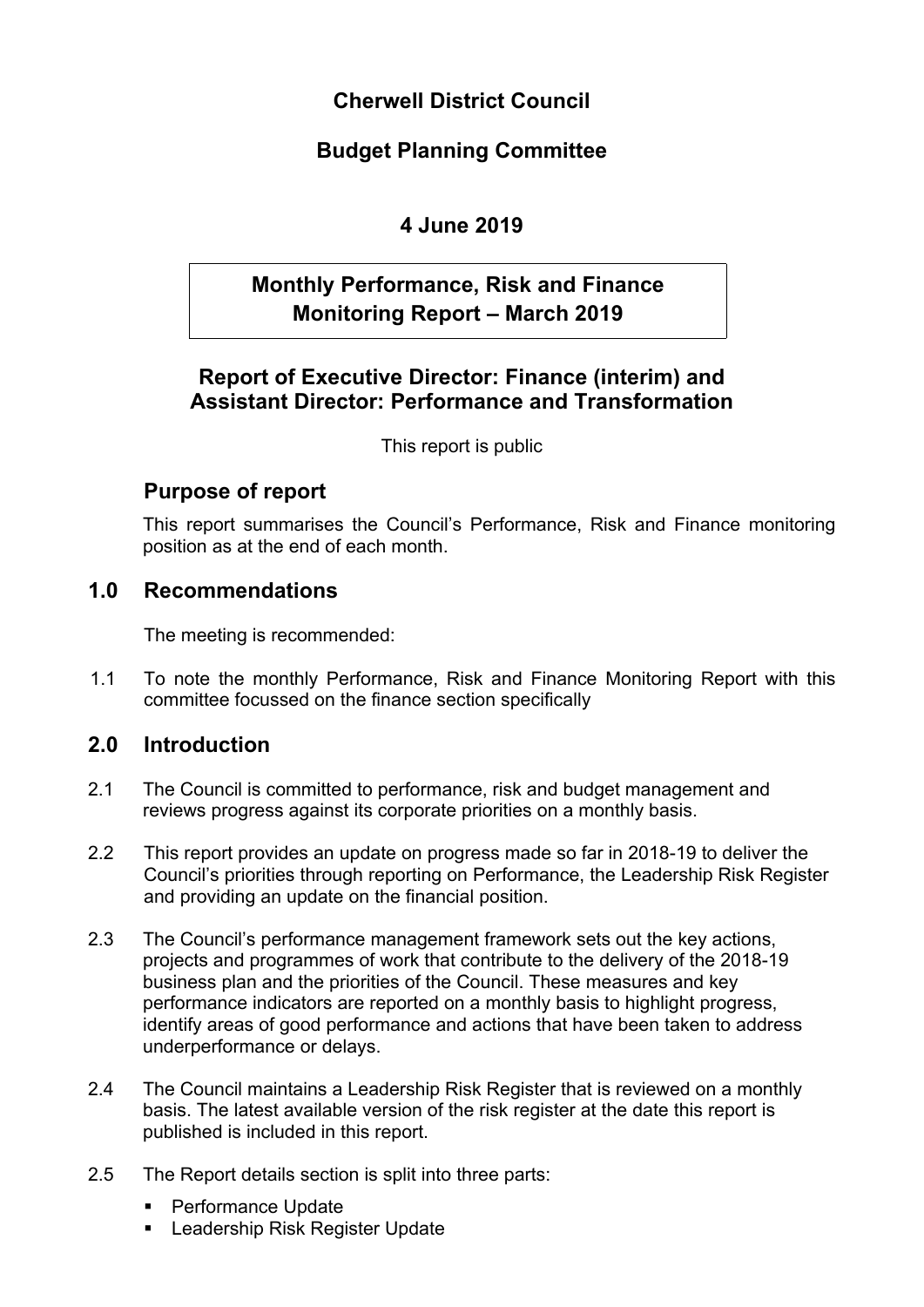**Cherwell District Council**

## **Budget Planning Committee**

# **4 June 2019**

# **Monthly Performance, Risk and Finance Monitoring Report – March 2019**

## **Report of Executive Director: Finance (interim) and Assistant Director: Performance and Transformation**

This report is public

## **Purpose of report**

This report summarises the Council's Performance, Risk and Finance monitoring position as at the end of each month.

## **1.0 Recommendations**

The meeting is recommended:

1.1 To note the monthly Performance, Risk and Finance Monitoring Report with this committee focussed on the finance section specifically

## **2.0 Introduction**

- 2.1 The Council is committed to performance, risk and budget management and reviews progress against its corporate priorities on a monthly basis.
- 2.2 This report provides an update on progress made so far in 2018-19 to deliver the Council's priorities through reporting on Performance, the Leadership Risk Register and providing an update on the financial position.
- 2.3 The Council's performance management framework sets out the key actions, projects and programmes of work that contribute to the delivery of the 2018-19 business plan and the priorities of the Council. These measures and key performance indicators are reported on a monthly basis to highlight progress, identify areas of good performance and actions that have been taken to address underperformance or delays.
- 2.4 The Council maintains a Leadership Risk Register that is reviewed on a monthly basis. The latest available version of the risk register at the date this report is published is included in this report.
- 2.5 The Report details section is split into three parts:
	- Performance Update
	- **Leadership Risk Register Update**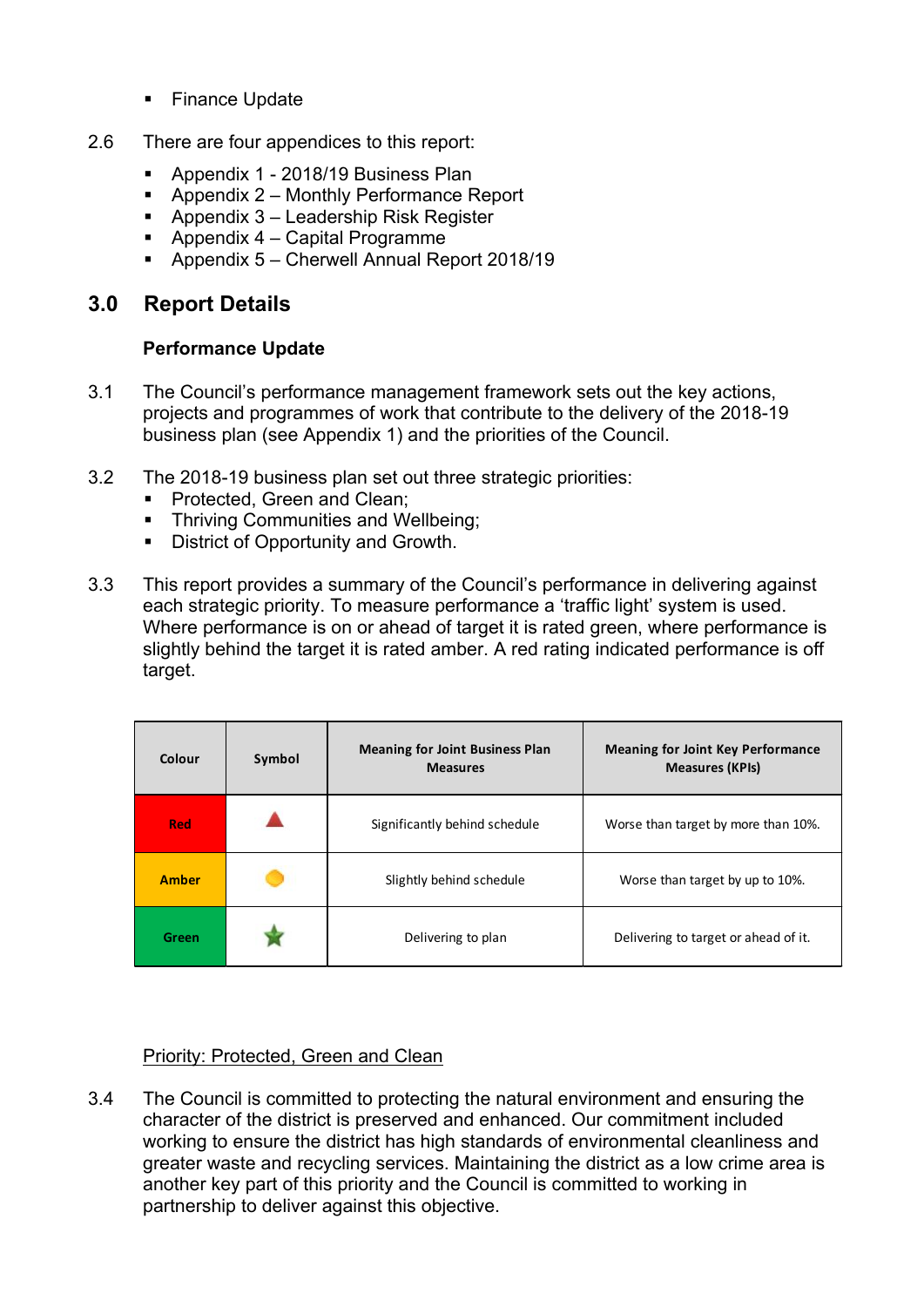- Finance Update
- 2.6 There are four appendices to this report:
	- Appendix 1 2018/19 Business Plan
	- Appendix 2 Monthly Performance Report
	- Appendix 3 Leadership Risk Register
	- Appendix 4 Capital Programme
	- Appendix 5 Cherwell Annual Report 2018/19

### **3.0 Report Details**

### **Performance Update**

- 3.1 The Council's performance management framework sets out the key actions, projects and programmes of work that contribute to the delivery of the 2018-19 business plan (see Appendix 1) and the priorities of the Council.
- 3.2 The 2018-19 business plan set out three strategic priorities:
	- **Protected, Green and Clean;**
	- **FI** Thriving Communities and Wellbeing:
	- **District of Opportunity and Growth.**
- 3.3 This report provides a summary of the Council's performance in delivering against each strategic priority. To measure performance a 'traffic light' system is used. Where performance is on or ahead of target it is rated green, where performance is slightly behind the target it is rated amber. A red rating indicated performance is off target.

| Colour       | Symbol | <b>Meaning for Joint Business Plan</b><br><b>Measures</b> | <b>Meaning for Joint Key Performance</b><br><b>Measures (KPIs)</b> |
|--------------|--------|-----------------------------------------------------------|--------------------------------------------------------------------|
| <b>Red</b>   |        | Significantly behind schedule                             | Worse than target by more than 10%.                                |
| <b>Amber</b> |        | Slightly behind schedule                                  | Worse than target by up to 10%.                                    |
| Green        |        | Delivering to plan                                        | Delivering to target or ahead of it.                               |

#### Priority: Protected, Green and Clean

3.4 The Council is committed to protecting the natural environment and ensuring the character of the district is preserved and enhanced. Our commitment included working to ensure the district has high standards of environmental cleanliness and greater waste and recycling services. Maintaining the district as a low crime area is another key part of this priority and the Council is committed to working in partnership to deliver against this objective.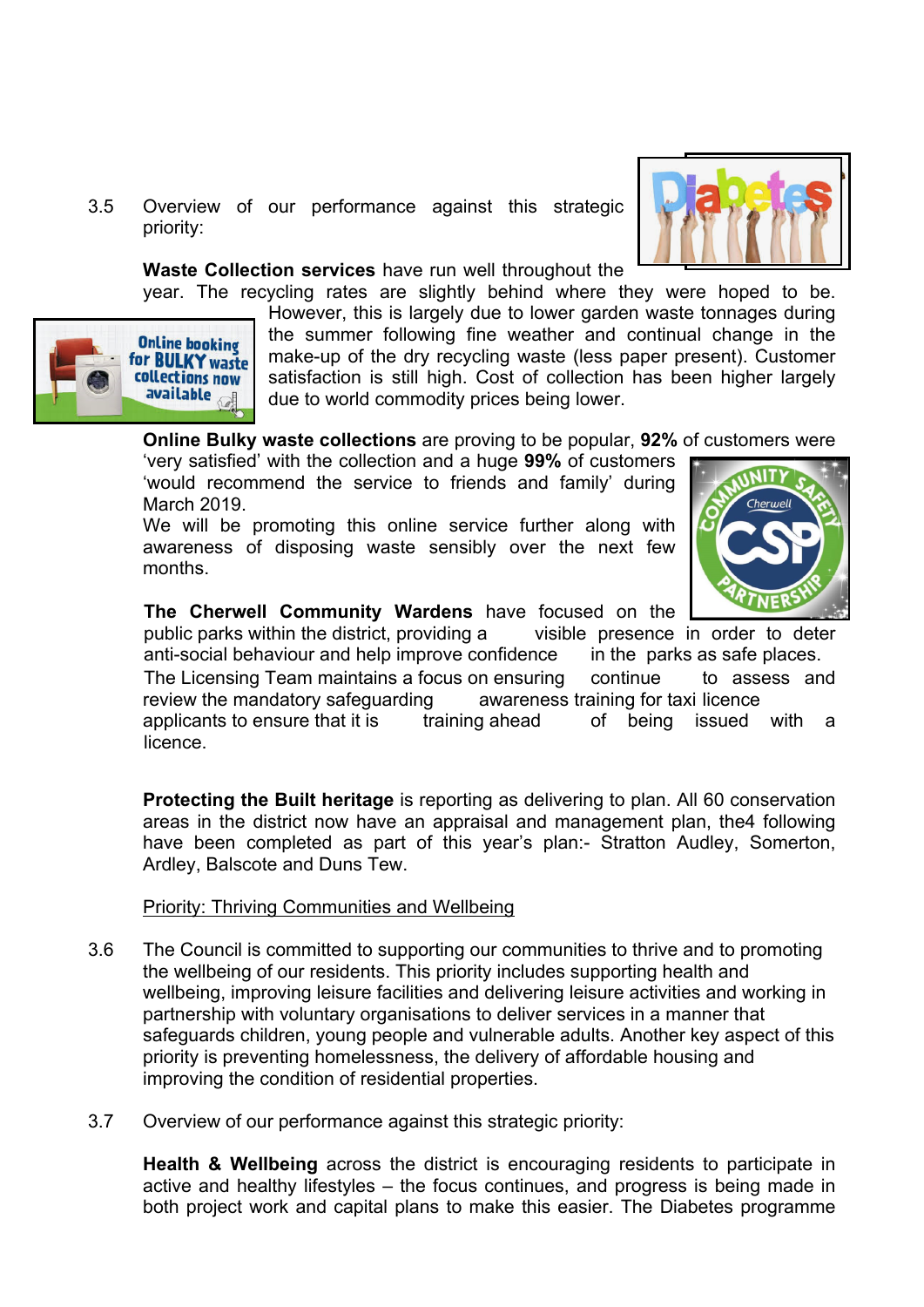3.5 Overview of our performance against this strategic priority:



#### **Waste Collection services** have run well throughout the

year. The recycling rates are slightly behind where they were hoped to be.



However, this is largely due to lower garden waste tonnages during the summer following fine weather and continual change in the make-up of the dry recycling waste (less paper present). Customer satisfaction is still high. Cost of collection has been higher largely due to world commodity prices being lower.

**Online Bulky waste collections** are proving to be popular, **92%** of customers were

'very satisfied' with the collection and a huge **99%** of customers 'would recommend the service to friends and family' during March 2019.

We will be promoting this online service further along with awareness of disposing waste sensibly over the next few months.



### **The Cherwell Community Wardens** have focused on the

public parks within the district, providing a visible presence in order to deter anti-social behaviour and help improve confidence in the parks as safe places. The Licensing Team maintains a focus on ensuring continue to assess and review the mandatory safeguarding awareness training for taxi licence applicants to ensure that it is training ahead of being issued with a licence.

**Protecting the Built heritage** is reporting as delivering to plan. All 60 conservation areas in the district now have an appraisal and management plan, the4 following have been completed as part of this year's plan:- Stratton Audley, Somerton, Ardley, Balscote and Duns Tew.

#### Priority: Thriving Communities and Wellbeing

- 3.6 The Council is committed to supporting our communities to thrive and to promoting the wellbeing of our residents. This priority includes supporting health and wellbeing, improving leisure facilities and delivering leisure activities and working in partnership with voluntary organisations to deliver services in a manner that safeguards children, young people and vulnerable adults. Another key aspect of this priority is preventing homelessness, the delivery of affordable housing and improving the condition of residential properties.
- 3.7 Overview of our performance against this strategic priority:

**Health & Wellbeing** across the district is encouraging residents to participate in active and healthy lifestyles – the focus continues, and progress is being made in both project work and capital plans to make this easier. The Diabetes programme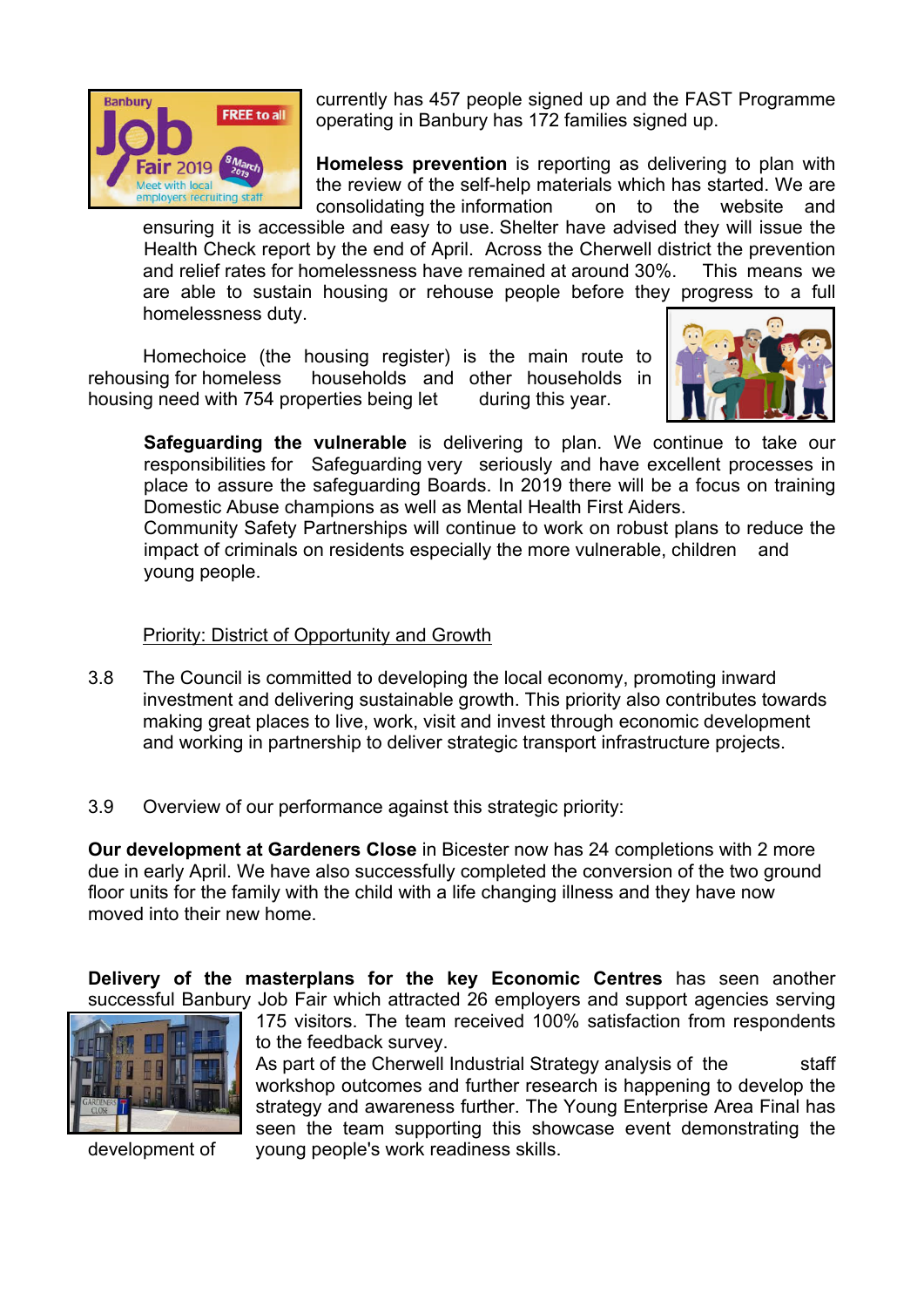

currently has 457 people signed up and the FAST Programme operating in Banbury has 172 families signed up.

**Homeless prevention** is reporting as delivering to plan with the review of the self-help materials which has started. We are consolidating the information on to the website and

ensuring it is accessible and easy to use. Shelter have advised they will issue the Health Check report by the end of April. Across the Cherwell district the prevention and relief rates for homelessness have remained at around 30%. This means we are able to sustain housing or rehouse people before they progress to a full homelessness duty.

Homechoice (the housing register) is the main route to rehousing for homeless households and other households in housing need with 754 properties being let during this year.



**Safeguarding the vulnerable** is delivering to plan. We continue to take our responsibilities for Safeguarding very seriously and have excellent processes in place to assure the safeguarding Boards. In 2019 there will be a focus on training Domestic Abuse champions as well as Mental Health First Aiders.

Community Safety Partnerships will continue to work on robust plans to reduce the impact of criminals on residents especially the more vulnerable, children and young people.

### Priority: District of Opportunity and Growth

- 3.8 The Council is committed to developing the local economy, promoting inward investment and delivering sustainable growth. This priority also contributes towards making great places to live, work, visit and invest through economic development and working in partnership to deliver strategic transport infrastructure projects.
- 3.9 Overview of our performance against this strategic priority:

**Our development at Gardeners Close** in Bicester now has 24 completions with 2 more due in early April. We have also successfully completed the conversion of the two ground floor units for the family with the child with a life changing illness and they have now moved into their new home.

**Delivery of the masterplans for the key Economic Centres** has seen another successful Banbury Job Fair which attracted 26 employers and support agencies serving



175 visitors. The team received 100% satisfaction from respondents to the feedback survey.

As part of the Cherwell Industrial Strategy analysis of the staff workshop outcomes and further research is happening to develop the strategy and awareness further. The Young Enterprise Area Final has seen the team supporting this showcase event demonstrating the development of young people's work readiness skills.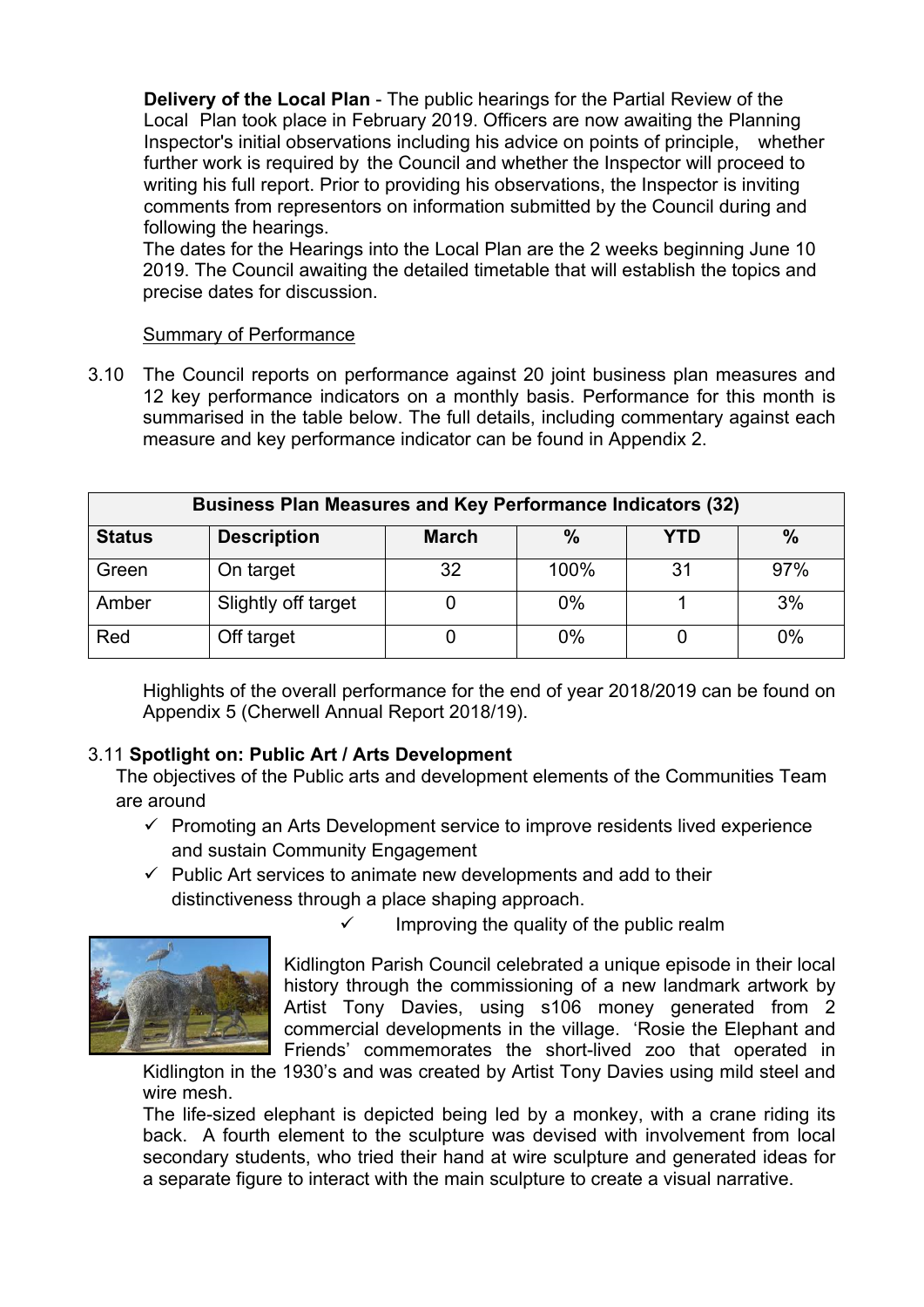**Delivery of the Local Plan** - The public hearings for the Partial Review of the Local Plan took place in February 2019. Officers are now awaiting the Planning Inspector's initial observations including his advice on points of principle, whether further work is required by the Council and whether the Inspector will proceed to writing his full report. Prior to providing his observations, the Inspector is inviting comments from representors on information submitted by the Council during and following the hearings.

The dates for the Hearings into the Local Plan are the 2 weeks beginning June 10 2019. The Council awaiting the detailed timetable that will establish the topics and precise dates for discussion.

#### Summary of Performance

3.10 The Council reports on performance against 20 joint business plan measures and 12 key performance indicators on a monthly basis. Performance for this month is summarised in the table below. The full details, including commentary against each measure and key performance indicator can be found in Appendix 2.

| <b>Business Plan Measures and Key Performance Indicators (32)</b> |                     |              |       |            |      |  |
|-------------------------------------------------------------------|---------------------|--------------|-------|------------|------|--|
| <b>Status</b>                                                     | <b>Description</b>  | <b>March</b> | $\%$  | <b>YTD</b> | $\%$ |  |
| Green                                                             | On target           | 32           | 100%  | 31         | 97%  |  |
| Amber                                                             | Slightly off target |              | $0\%$ |            | 3%   |  |
| Red                                                               | Off target          |              | 0%    |            | 0%   |  |

Highlights of the overall performance for the end of year 2018/2019 can be found on Appendix 5 (Cherwell Annual Report 2018/19).

### 3.11 **Spotlight on: Public Art / Arts Development**

The objectives of the Public arts and development elements of the Communities Team are around

- $\checkmark$  Promoting an Arts Development service to improve residents lived experience and sustain Community Engagement
- $\checkmark$  Public Art services to animate new developments and add to their distinctiveness through a place shaping approach.



Improving the quality of the public realm

Kidlington Parish Council celebrated a unique episode in their local history through the commissioning of a new landmark artwork by Artist Tony Davies, using s106 money generated from 2 commercial developments in the village. 'Rosie the Elephant and Friends' commemorates the short-lived zoo that operated in

Kidlington in the 1930's and was created by Artist Tony Davies using mild steel and wire mesh.

The life-sized elephant is depicted being led by a monkey, with a crane riding its back. A fourth element to the sculpture was devised with involvement from local secondary students, who tried their hand at wire sculpture and generated ideas for a separate figure to interact with the main sculpture to create a visual narrative.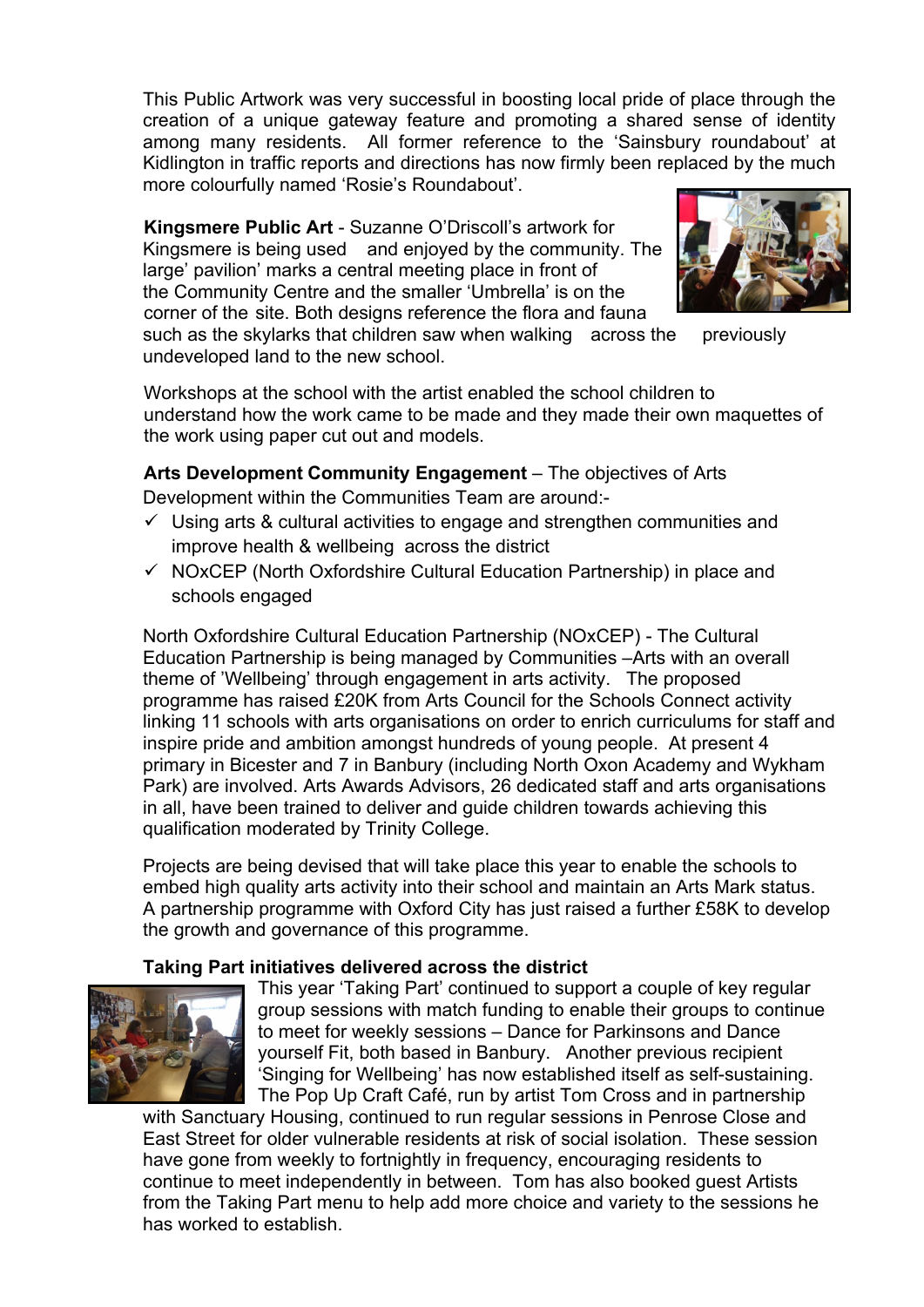This Public Artwork was very successful in boosting local pride of place through the creation of a unique gateway feature and promoting a shared sense of identity among many residents. All former reference to the 'Sainsbury roundabout' at Kidlington in traffic reports and directions has now firmly been replaced by the much more colourfully named 'Rosie's Roundabout'.

**Kingsmere Public Art** - Suzanne O'Driscoll's artwork for Kingsmere is being used and enjoyed by the community. The large' pavilion' marks a central meeting place in front of the Community Centre and the smaller 'Umbrella' is on the corner of the site. Both designs reference the flora and fauna



such as the skylarks that children saw when walking across the previously undeveloped land to the new school.

Workshops at the school with the artist enabled the school children to understand how the work came to be made and they made their own maquettes of the work using paper cut out and models.

**Arts Development Community Engagement** – The objectives of Arts Development within the Communities Team are around:-

- $\checkmark$  Using arts & cultural activities to engage and strengthen communities and improve health & wellbeing across the district
- $\checkmark$  NOxCEP (North Oxfordshire Cultural Education Partnership) in place and schools engaged

North Oxfordshire Cultural Education Partnership (NOxCEP) - The Cultural Education Partnership is being managed by Communities –Arts with an overall theme of 'Wellbeing' through engagement in arts activity. The proposed programme has raised £20K from Arts Council for the Schools Connect activity linking 11 schools with arts organisations on order to enrich curriculums for staff and inspire pride and ambition amongst hundreds of young people. At present 4 primary in Bicester and 7 in Banbury (including North Oxon Academy and Wykham Park) are involved. Arts Awards Advisors, 26 dedicated staff and arts organisations in all, have been trained to deliver and guide children towards achieving this qualification moderated by Trinity College.

Projects are being devised that will take place this year to enable the schools to embed high quality arts activity into their school and maintain an Arts Mark status. A partnership programme with Oxford City has just raised a further £58K to develop the growth and governance of this programme.

#### **Taking Part initiatives delivered across the district**



This year 'Taking Part' continued to support a couple of key regular group sessions with match funding to enable their groups to continue to meet for weekly sessions – Dance for Parkinsons and Dance yourself Fit, both based in Banbury. Another previous recipient 'Singing for Wellbeing' has now established itself as self-sustaining. The Pop Up Craft Café, run by artist Tom Cross and in partnership

with Sanctuary Housing, continued to run regular sessions in Penrose Close and East Street for older vulnerable residents at risk of social isolation. These session have gone from weekly to fortnightly in frequency, encouraging residents to continue to meet independently in between. Tom has also booked guest Artists from the Taking Part menu to help add more choice and variety to the sessions he has worked to establish.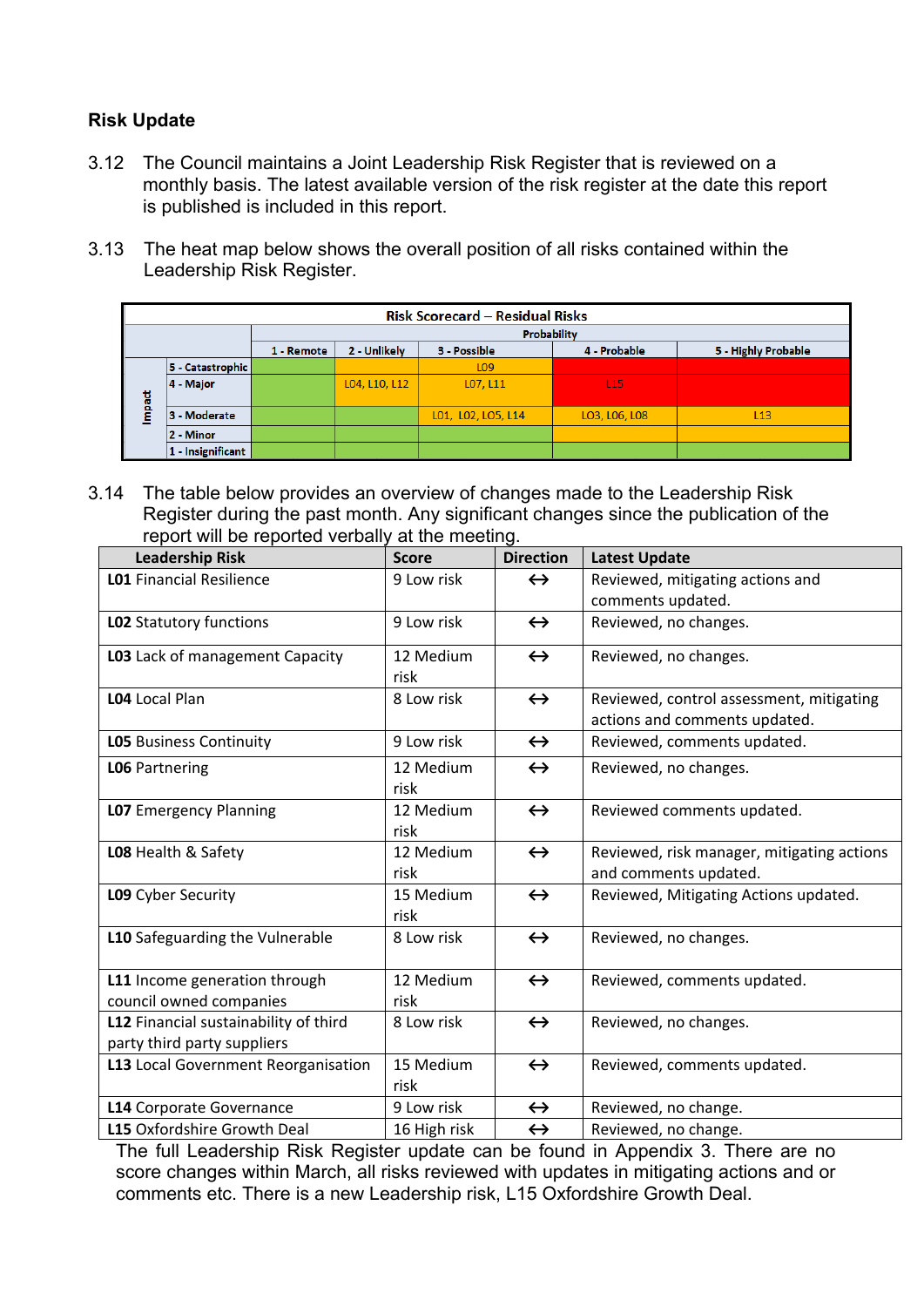### **Risk Update**

- 3.12 The Council maintains a Joint Leadership Risk Register that is reviewed on a monthly basis. The latest available version of the risk register at the date this report is published is included in this report.
- 3.13 The heat map below shows the overall position of all risks contained within the Leadership Risk Register.

|        | <b>Risk Scorecard - Residual Risks</b> |             |                                                                     |                    |                 |     |  |
|--------|----------------------------------------|-------------|---------------------------------------------------------------------|--------------------|-----------------|-----|--|
|        |                                        | Probability |                                                                     |                    |                 |     |  |
|        |                                        | 1 - Remote  | 2 - Unlikely<br>4 - Probable<br>5 - Highly Probable<br>3 - Possible |                    |                 |     |  |
|        | 5 - Catastrophic                       |             |                                                                     | L <sub>09</sub>    |                 |     |  |
|        | 4 - Major                              |             | L04, L10, L12                                                       | L07, L11           | L <sub>15</sub> |     |  |
| Impact | 3 - Moderate                           |             |                                                                     | L01, L02, L05, L14 | LO3, LO6, LO8   | L13 |  |
|        | 2 - Minor                              |             |                                                                     |                    |                 |     |  |
|        | 1 - Insignificant                      |             |                                                                     |                    |                 |     |  |

3.14 The table below provides an overview of changes made to the Leadership Risk Register during the past month. Any significant changes since the publication of the report will be reported verbally at the meeting.

| <b>Leadership Risk</b>                                               | <b>Score</b>      | <b>Direction</b>  | <b>Latest Update</b>                                                      |
|----------------------------------------------------------------------|-------------------|-------------------|---------------------------------------------------------------------------|
| <b>L01 Financial Resilience</b>                                      | 9 Low risk        | $\leftrightarrow$ | Reviewed, mitigating actions and                                          |
|                                                                      |                   |                   | comments updated.                                                         |
| LO2 Statutory functions                                              | 9 Low risk        | $\leftrightarrow$ | Reviewed, no changes.                                                     |
| LO3 Lack of management Capacity                                      | 12 Medium<br>risk | $\leftrightarrow$ | Reviewed, no changes.                                                     |
| L04 Local Plan                                                       | 8 Low risk        | $\leftrightarrow$ | Reviewed, control assessment, mitigating<br>actions and comments updated. |
| <b>LO5</b> Business Continuity                                       | 9 Low risk        | $\leftrightarrow$ | Reviewed, comments updated.                                               |
| <b>LO6 Partnering</b>                                                | 12 Medium<br>risk | $\leftrightarrow$ | Reviewed, no changes.                                                     |
| <b>LO7</b> Emergency Planning                                        | 12 Medium<br>risk | $\leftrightarrow$ | Reviewed comments updated.                                                |
| LO8 Health & Safety                                                  | 12 Medium<br>risk | $\leftrightarrow$ | Reviewed, risk manager, mitigating actions<br>and comments updated.       |
| L09 Cyber Security                                                   | 15 Medium<br>risk | $\leftrightarrow$ | Reviewed, Mitigating Actions updated.                                     |
| L10 Safeguarding the Vulnerable                                      | 8 Low risk        | $\leftrightarrow$ | Reviewed, no changes.                                                     |
| L11 Income generation through<br>council owned companies             | 12 Medium<br>risk | $\leftrightarrow$ | Reviewed, comments updated.                                               |
| L12 Financial sustainability of third<br>party third party suppliers | 8 Low risk        | $\leftrightarrow$ | Reviewed, no changes.                                                     |
| L13 Local Government Reorganisation                                  | 15 Medium<br>risk | $\leftrightarrow$ | Reviewed, comments updated.                                               |
| L14 Corporate Governance                                             | 9 Low risk        | $\leftrightarrow$ | Reviewed, no change.                                                      |
| L15 Oxfordshire Growth Deal                                          | 16 High risk      | $\leftrightarrow$ | Reviewed, no change.                                                      |

The full Leadership Risk Register update can be found in Appendix 3. There are no score changes within March, all risks reviewed with updates in mitigating actions and or comments etc. There is a new Leadership risk, L15 Oxfordshire Growth Deal.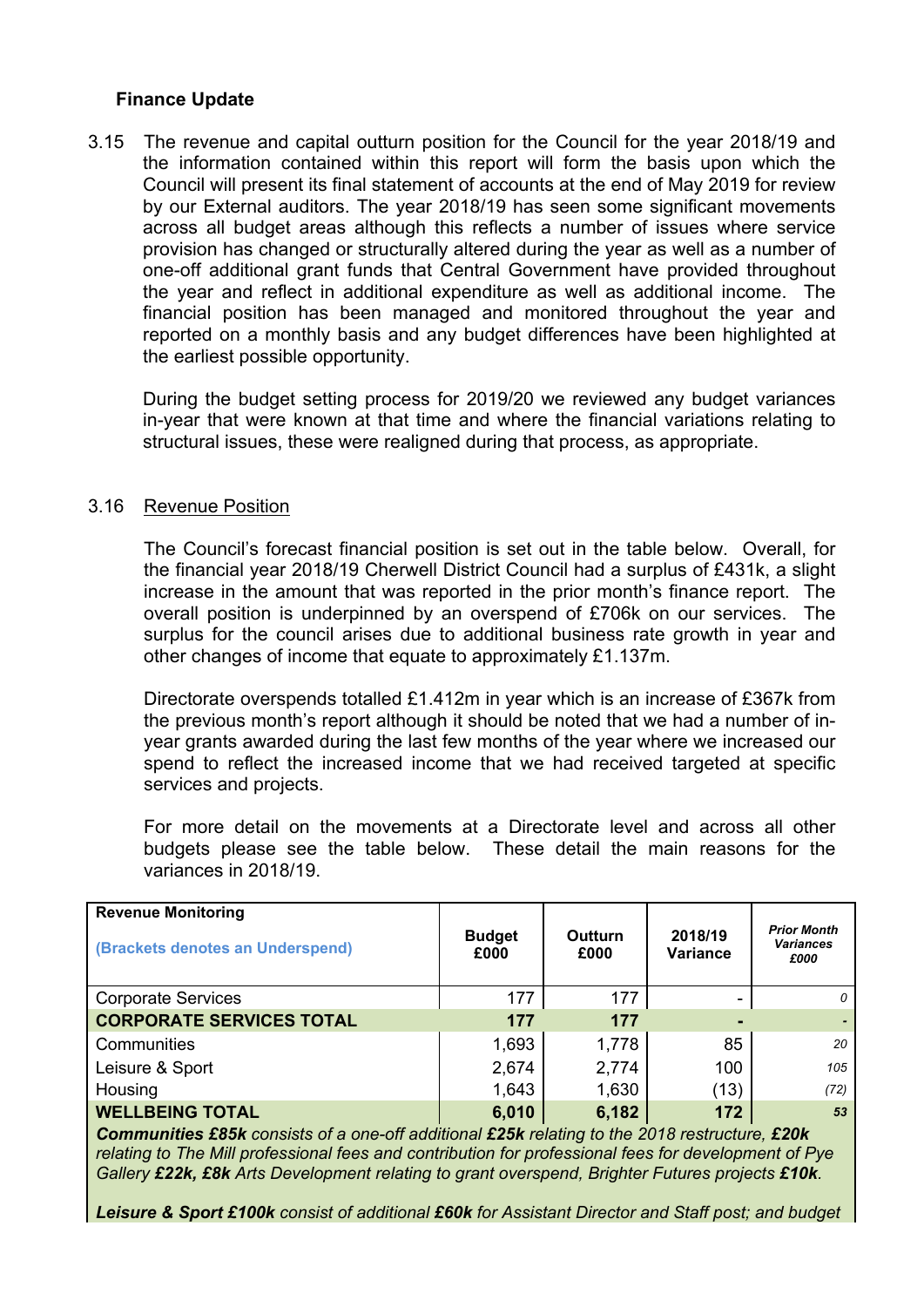### **Finance Update**

3.15 The revenue and capital outturn position for the Council for the year 2018/19 and the information contained within this report will form the basis upon which the Council will present its final statement of accounts at the end of May 2019 for review by our External auditors. The year 2018/19 has seen some significant movements across all budget areas although this reflects a number of issues where service provision has changed or structurally altered during the year as well as a number of one-off additional grant funds that Central Government have provided throughout the year and reflect in additional expenditure as well as additional income. The financial position has been managed and monitored throughout the year and reported on a monthly basis and any budget differences have been highlighted at the earliest possible opportunity.

During the budget setting process for 2019/20 we reviewed any budget variances in-year that were known at that time and where the financial variations relating to structural issues, these were realigned during that process, as appropriate.

#### 3.16 Revenue Position

The Council's forecast financial position is set out in the table below. Overall, for the financial year 2018/19 Cherwell District Council had a surplus of £431k, a slight increase in the amount that was reported in the prior month's finance report. The overall position is underpinned by an overspend of £706k on our services. The surplus for the council arises due to additional business rate growth in year and other changes of income that equate to approximately £1.137m.

Directorate overspends totalled £1.412m in year which is an increase of £367k from the previous month's report although it should be noted that we had a number of inyear grants awarded during the last few months of the year where we increased our spend to reflect the increased income that we had received targeted at specific services and projects.

For more detail on the movements at a Directorate level and across all other budgets please see the table below. These detail the main reasons for the variances in 2018/19.

| <b>Revenue Monitoring</b><br>(Brackets denotes an Underspend) | <b>Budget</b><br>£000 | Outturn<br>£000 | 2018/19<br>Variance | <b>Prior Month</b><br><b>Variances</b><br>£000 |
|---------------------------------------------------------------|-----------------------|-----------------|---------------------|------------------------------------------------|
| <b>Corporate Services</b>                                     | 177                   | 177             | -                   | 0                                              |
| <b>CORPORATE SERVICES TOTAL</b>                               | 177                   | 177             |                     |                                                |
| Communities                                                   | 1,693                 | 1,778           | 85                  | 20                                             |
| Leisure & Sport                                               | 2,674                 | 2,774           | 100                 | 105                                            |
| Housing                                                       | 1,643                 | 1,630           | (13)                | (72)                                           |
| <b>WELLBEING TOTAL</b>                                        | 6,010                 | 6,182           | 172                 | 53                                             |

*Communities £85k consists of a one-off additional £25k relating to the 2018 restructure, £20k relating to The Mill professional fees and contribution for professional fees for development of Pye Gallery £22k, £8k Arts Development relating to grant overspend, Brighter Futures projects £10k.*

*Leisure & Sport £100k consist of additional £60k for Assistant Director and Staff post; and budget*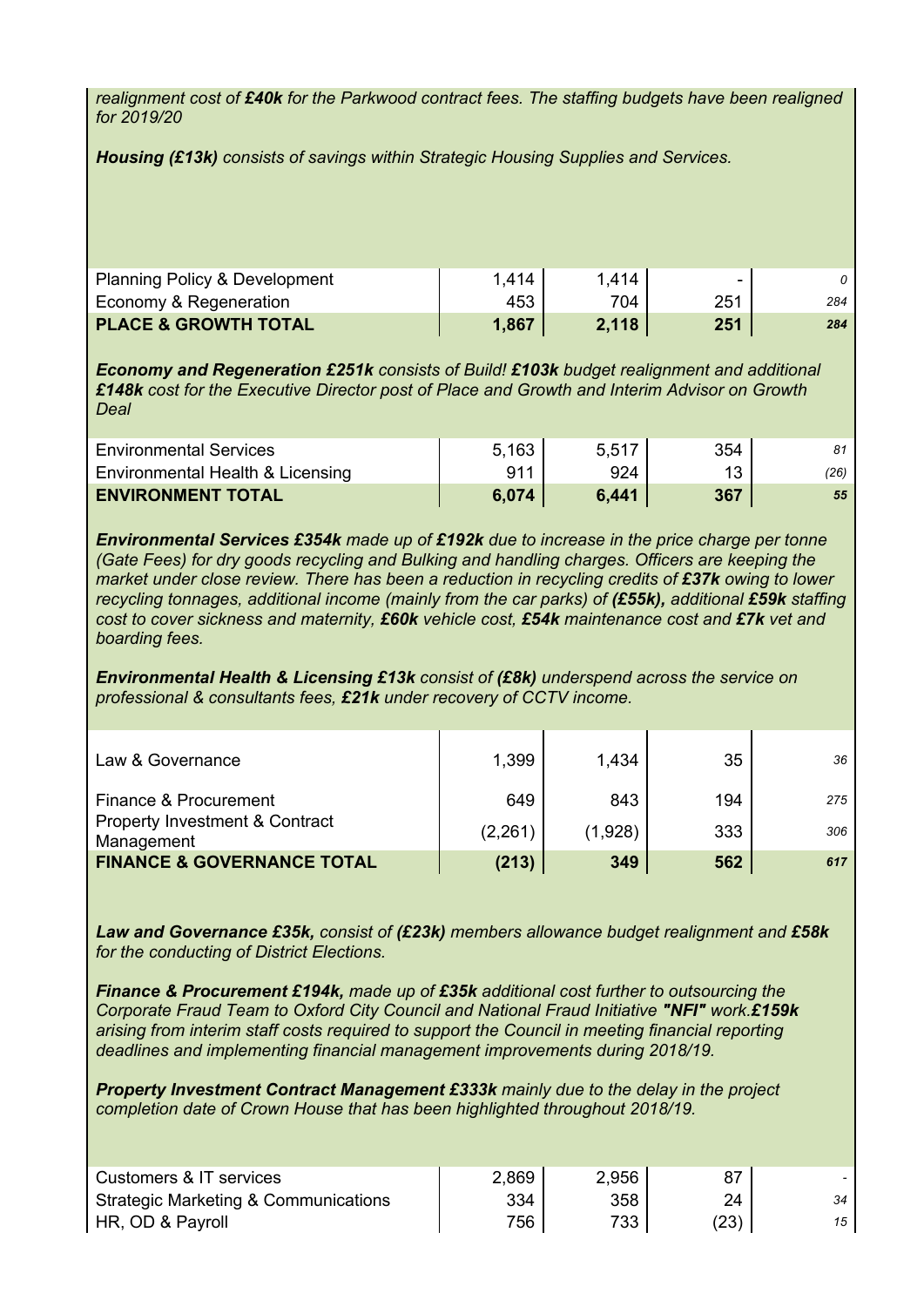*realignment cost of £40k for the Parkwood contract fees. The staffing budgets have been realigned for 2019/20*

*Housing (£13k) consists of savings within Strategic Housing Supplies and Services.*

| <b>Planning Policy &amp; Development</b> | 1.414 | 1.414 | ۰   |     |
|------------------------------------------|-------|-------|-----|-----|
| Economy & Regeneration                   | 453   | 704   | 251 | 284 |
| <b>PLACE &amp; GROWTH TOTAL</b>          | 1,867 | 2,118 | 251 | 284 |

*Economy and Regeneration £251k consists of Build! £103k budget realignment and additional £148k cost for the Executive Director post of Place and Growth and Interim Advisor on Growth Deal*

| <b>Environmental Services</b>    | 5.163 | 5.517 | 354 |      |
|----------------------------------|-------|-------|-----|------|
| Environmental Health & Licensing | 911   | 924   |     | (26) |
| <b>ENVIRONMENT TOTAL</b>         | 6.074 | 6,441 | 367 | 55   |

*Environmental Services £354k made up of £192k due to increase in the price charge per tonne (Gate Fees) for dry goods recycling and Bulking and handling charges. Officers are keeping the market under close review. There has been a reduction in recycling credits of £37k owing to lower recycling tonnages, additional income (mainly from the car parks) of (£55k), additional £59k staffing cost to cover sickness and maternity, £60k vehicle cost, £54k maintenance cost and £7k vet and boarding fees.*

*Environmental Health & Licensing £13k consist of (£8k) underspend across the service on professional & consultants fees, £21k under recovery of CCTV income.*

| Law & Governance                                                                 | 1,399          | 1,434          | 35         | 36         |
|----------------------------------------------------------------------------------|----------------|----------------|------------|------------|
| Finance & Procurement<br><b>Property Investment &amp; Contract</b><br>Management | 649<br>(2,261) | 843<br>(1,928) | 194<br>333 | 275<br>306 |
| <b>FINANCE &amp; GOVERNANCE TOTAL</b>                                            | (213)          | 349            | 562        | 617        |

*Law and Governance £35k, consist of (£23k) members allowance budget realignment and £58k for the conducting of District Elections.*

*Finance & Procurement £194k, made up of £35k additional cost further to outsourcing the Corporate Fraud Team to Oxford City Council and National Fraud Initiative "NFI" work.£159k arising from interim staff costs required to support the Council in meeting financial reporting deadlines and implementing financial management improvements during 2018/19.*

*Property Investment Contract Management £333k mainly due to the delay in the project completion date of Crown House that has been highlighted throughout 2018/19.*

| Customers & IT services              | 2,869 | 2.956 |      |    |
|--------------------------------------|-------|-------|------|----|
| Strategic Marketing & Communications | 334   | 358   | 24   | 34 |
| HR, OD & Payroll                     | 756   | 733   | (23) | 15 |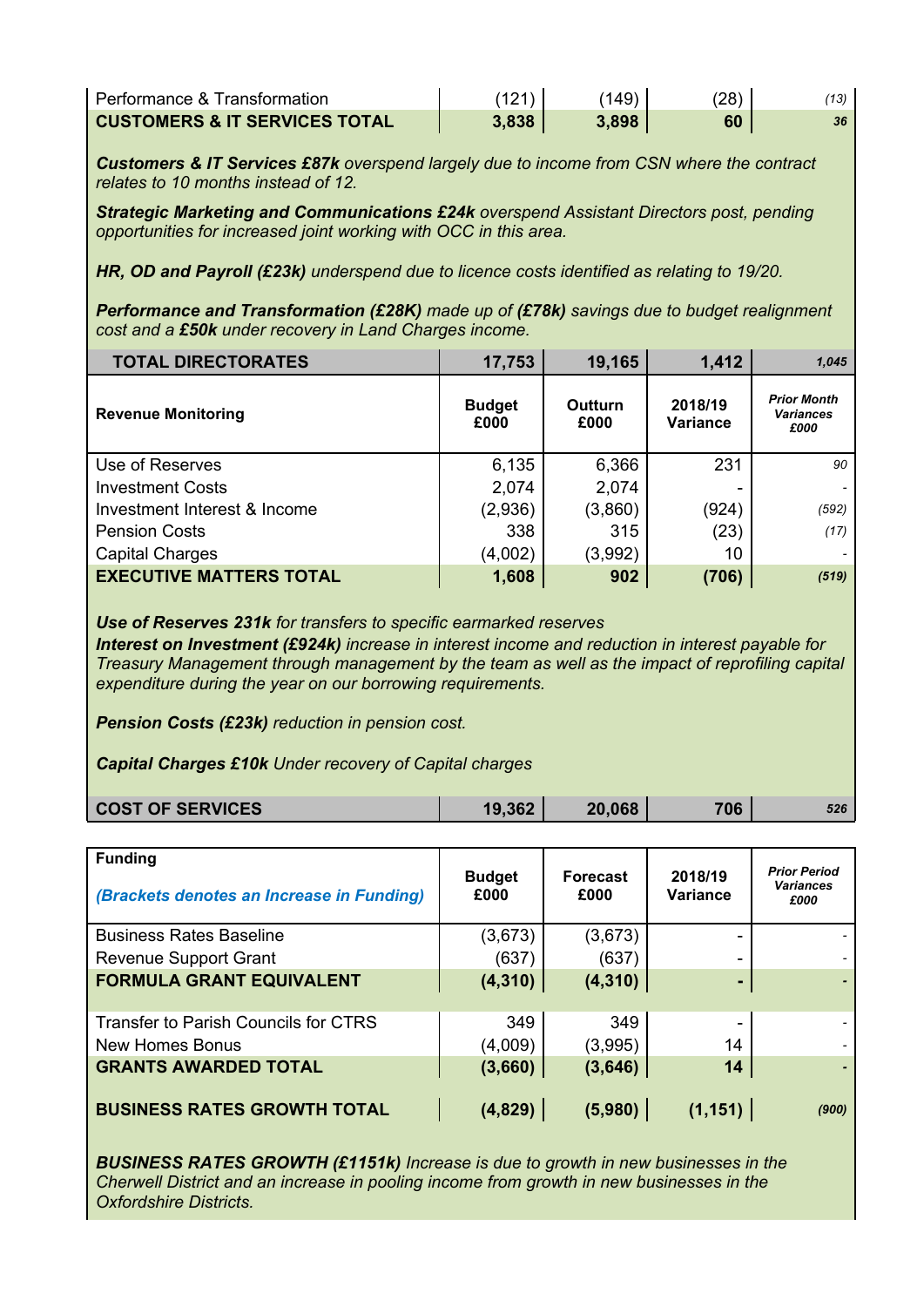| Performance & Transformation             |       | (149) | (28) |    |
|------------------------------------------|-------|-------|------|----|
| <b>CUSTOMERS &amp; IT SERVICES TOTAL</b> | 3.838 | 3.898 | 60   | 36 |

*Customers & IT Services £87k overspend largely due to income from CSN where the contract relates to 10 months instead of 12.*

*Strategic Marketing and Communications £24k overspend Assistant Directors post, pending opportunities for increased joint working with OCC in this area.*

*HR, OD and Payroll (£23k) underspend due to licence costs identified as relating to 19/20.*

*Performance and Transformation (£28K) made up of (£78k) savings due to budget realignment cost and a £50k under recovery in Land Charges income.*

| <b>TOTAL DIRECTORATES</b>      | 17,753                | 19,165          | 1,412               | 1,045                                          |
|--------------------------------|-----------------------|-----------------|---------------------|------------------------------------------------|
| <b>Revenue Monitoring</b>      | <b>Budget</b><br>£000 | Outturn<br>£000 | 2018/19<br>Variance | <b>Prior Month</b><br><b>Variances</b><br>£000 |
| Use of Reserves                | 6,135                 | 6,366           | 231                 | 90                                             |
| <b>Investment Costs</b>        | 2,074                 | 2,074           |                     |                                                |
| Investment Interest & Income   | (2,936)               | (3,860)         | (924)               | (592)                                          |
| <b>Pension Costs</b>           | 338                   | 315             | (23)                | (17)                                           |
| <b>Capital Charges</b>         | (4,002)               | (3,992)         | 10                  |                                                |
| <b>EXECUTIVE MATTERS TOTAL</b> | 1,608                 | 902             | (706)               | (519)                                          |

*Use of Reserves 231k for transfers to specific earmarked reserves*

*Interest on Investment (£924k) increase in interest income and reduction in interest payable for Treasury Management through management by the team as well as the impact of reprofiling capital expenditure during the year on our borrowing requirements.*

*Pension Costs (£23k) reduction in pension cost.*

*Capital Charges £10k Under recovery of Capital charges*

| <b>COST OF SERVICES</b> | .362 | ,068<br>20. | 706 | 526 |
|-------------------------|------|-------------|-----|-----|
|                         |      |             |     |     |

| <b>Funding</b><br>(Brackets denotes an Increase in Funding) | <b>Budget</b><br>£000 | <b>Forecast</b><br>£000 | 2018/19<br><b>Variance</b> | <b>Prior Period</b><br><b>Variances</b><br>£000 |
|-------------------------------------------------------------|-----------------------|-------------------------|----------------------------|-------------------------------------------------|
| <b>Business Rates Baseline</b>                              | (3,673)               | (3,673)                 |                            |                                                 |
| <b>Revenue Support Grant</b>                                | (637)                 | (637)                   |                            |                                                 |
| <b>FORMULA GRANT EQUIVALENT</b>                             | (4, 310)              | (4, 310)                | -                          |                                                 |
| <b>Transfer to Parish Councils for CTRS</b>                 | 349                   | 349                     |                            |                                                 |
| <b>New Homes Bonus</b>                                      | (4,009)               | (3,995)                 | 14                         |                                                 |
| <b>GRANTS AWARDED TOTAL</b>                                 | (3,660)               | (3,646)                 | 14                         |                                                 |
| <b>BUSINESS RATES GROWTH TOTAL</b>                          | (4,829)               | (5,980)                 | (1, 151)                   | (900)                                           |

*BUSINESS RATES GROWTH (£1151k) Increase is due to growth in new businesses in the Cherwell District and an increase in pooling income from growth in new businesses in the Oxfordshire Districts.*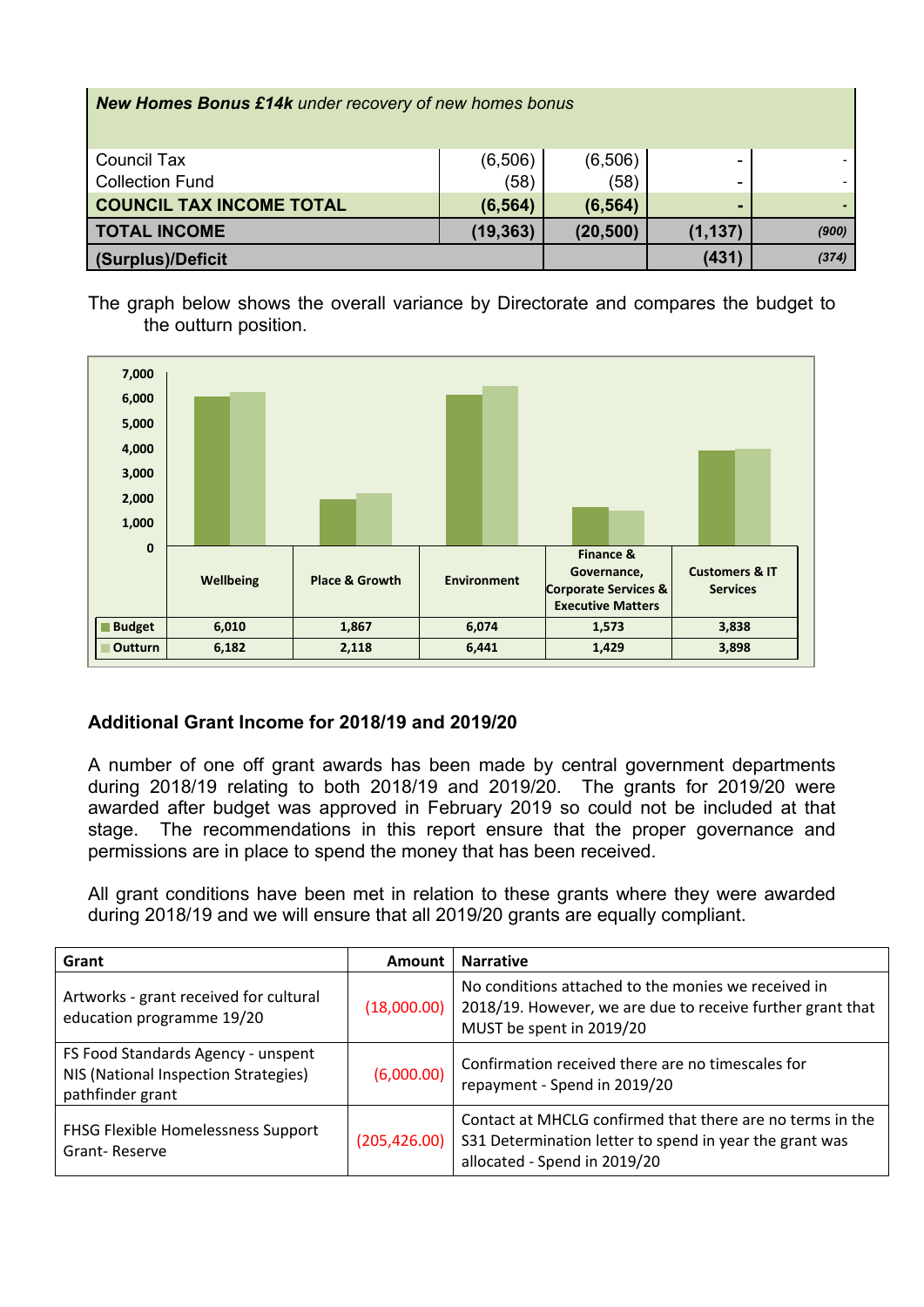| <b>New Homes Bonus £14k</b> under recovery of new homes bonus |           |           |          |       |
|---------------------------------------------------------------|-----------|-----------|----------|-------|
| Council Tax                                                   | (6,506)   | (6,506)   | -        |       |
| <b>Collection Fund</b>                                        | (58)      | (58)      |          |       |
| <b>COUNCIL TAX INCOME TOTAL</b>                               | (6, 564)  | (6, 564)  |          |       |
| <b>TOTAL INCOME</b>                                           | (19, 363) | (20, 500) | (1, 137) | (900) |
| (Surplus)/Deficit                                             |           |           | (431)    | (374) |

The graph below shows the overall variance by Directorate and compares the budget to the outturn position.



### **Additional Grant Income for 2018/19 and 2019/20**

A number of one off grant awards has been made by central government departments during 2018/19 relating to both 2018/19 and 2019/20. The grants for 2019/20 were awarded after budget was approved in February 2019 so could not be included at that stage. The recommendations in this report ensure that the proper governance and permissions are in place to spend the money that has been received.

All grant conditions have been met in relation to these grants where they were awarded during 2018/19 and we will ensure that all 2019/20 grants are equally compliant.

| Grant                                                                                          | Amount        | <b>Narrative</b>                                                                                                                                     |
|------------------------------------------------------------------------------------------------|---------------|------------------------------------------------------------------------------------------------------------------------------------------------------|
| Artworks - grant received for cultural<br>education programme 19/20                            | (18,000.00)   | No conditions attached to the monies we received in<br>2018/19. However, we are due to receive further grant that<br>MUST be spent in 2019/20        |
| FS Food Standards Agency - unspent<br>NIS (National Inspection Strategies)<br>pathfinder grant | (6,000.00)    | Confirmation received there are no timescales for<br>repayment - Spend in 2019/20                                                                    |
| FHSG Flexible Homelessness Support<br>Grant-Reserve                                            | (205, 426.00) | Contact at MHCLG confirmed that there are no terms in the<br>S31 Determination letter to spend in year the grant was<br>allocated - Spend in 2019/20 |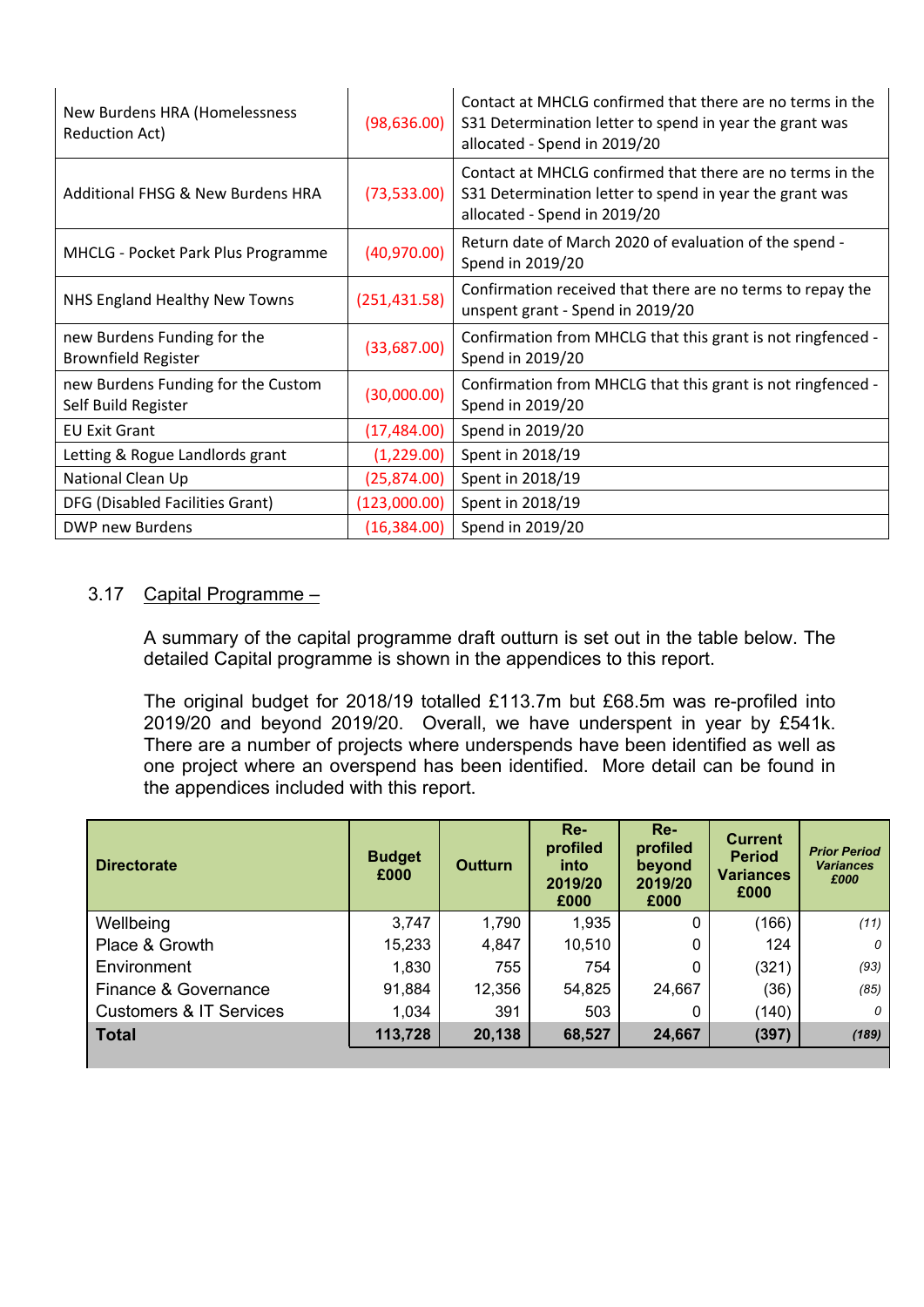| New Burdens HRA (Homelessness<br><b>Reduction Act)</b>    | (98, 636.00)  | Contact at MHCLG confirmed that there are no terms in the<br>S31 Determination letter to spend in year the grant was<br>allocated - Spend in 2019/20 |
|-----------------------------------------------------------|---------------|------------------------------------------------------------------------------------------------------------------------------------------------------|
| Additional FHSG & New Burdens HRA                         | (73,533.00)   | Contact at MHCLG confirmed that there are no terms in the<br>S31 Determination letter to spend in year the grant was<br>allocated - Spend in 2019/20 |
| <b>MHCLG - Pocket Park Plus Programme</b>                 | (40,970.00)   | Return date of March 2020 of evaluation of the spend -<br>Spend in 2019/20                                                                           |
| NHS England Healthy New Towns                             | (251, 431.58) | Confirmation received that there are no terms to repay the<br>unspent grant - Spend in 2019/20                                                       |
| new Burdens Funding for the<br><b>Brownfield Register</b> | (33,687.00)   | Confirmation from MHCLG that this grant is not ringfenced -<br>Spend in 2019/20                                                                      |
| new Burdens Funding for the Custom<br>Self Build Register | (30,000.00)   | Confirmation from MHCLG that this grant is not ringfenced -<br>Spend in 2019/20                                                                      |
| <b>EU Exit Grant</b>                                      | (17, 484.00)  | Spend in 2019/20                                                                                                                                     |
| Letting & Rogue Landlords grant                           | (1,229.00)    | Spent in 2018/19                                                                                                                                     |
| National Clean Up                                         | (25, 874.00)  | Spent in 2018/19                                                                                                                                     |
| DFG (Disabled Facilities Grant)                           | (123,000.00)  | Spent in 2018/19                                                                                                                                     |
| DWP new Burdens                                           | (16, 384.00)  | Spend in 2019/20                                                                                                                                     |

### 3.17 Capital Programme –

A summary of the capital programme draft outturn is set out in the table below. The detailed Capital programme is shown in the appendices to this report.

The original budget for 2018/19 totalled £113.7m but £68.5m was re-profiled into 2019/20 and beyond 2019/20. Overall, we have underspent in year by £541k. There are a number of projects where underspends have been identified as well as one project where an overspend has been identified. More detail can be found in the appendices included with this report.

| <b>Directorate</b>                 | <b>Budget</b><br>£000 | <b>Outturn</b> | $Re-$<br>profiled<br>into<br>2019/20<br>£000 | $Re-$<br>profiled<br>beyond<br>2019/20<br>£000 | <b>Current</b><br><b>Period</b><br><b>Variances</b><br>£000 | <b>Prior Period</b><br><b>Variances</b><br>£000 |
|------------------------------------|-----------------------|----------------|----------------------------------------------|------------------------------------------------|-------------------------------------------------------------|-------------------------------------------------|
| Wellbeing                          | 3,747                 | 1,790          | 1,935                                        | 0                                              | (166)                                                       | (11)                                            |
| Place & Growth                     | 15,233                | 4,847          | 10,510                                       | 0                                              | 124                                                         | 0                                               |
| Environment                        | 1,830                 | 755            | 754                                          | 0                                              | (321)                                                       | (93)                                            |
| Finance & Governance               | 91,884                | 12,356         | 54,825                                       | 24,667                                         | (36)                                                        | (85)                                            |
| <b>Customers &amp; IT Services</b> | 1,034                 | 391            | 503                                          | 0                                              | (140)                                                       |                                                 |
| <b>Total</b>                       | 113,728               | 20,138         | 68,527                                       | 24,667                                         | (397)                                                       | (189)                                           |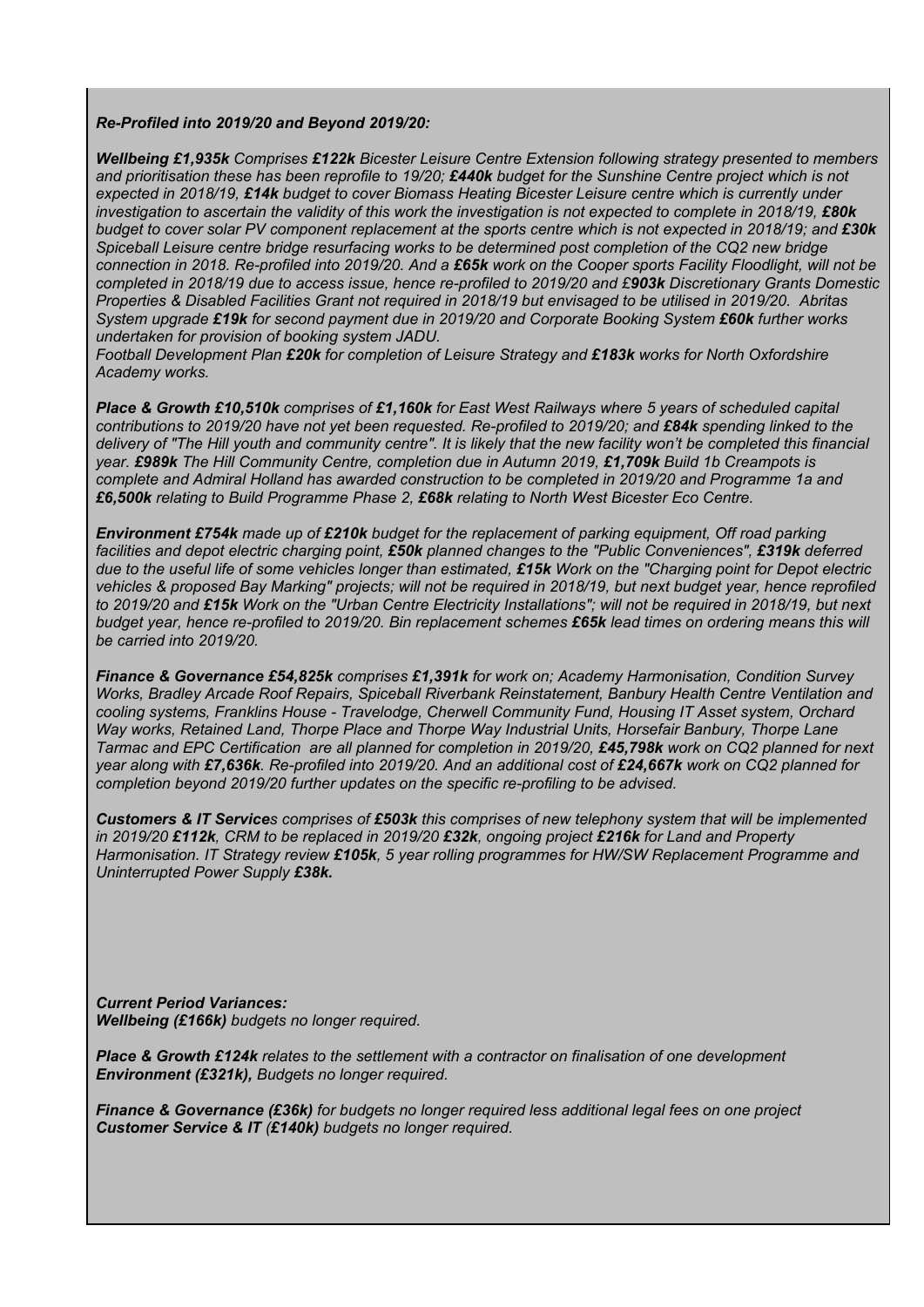#### *Re-Profiled into 2019/20 and Beyond 2019/20:*

*Wellbeing £1,935k Comprises £122k Bicester Leisure Centre Extension following strategy presented to members* and prioritisation these has been reprofile to 19/20; £440k budget for the Sunshine Centre project which is not *expected in 2018/19, £14k budget to cover Biomass Heating Bicester Leisure centre which is currently under* investigation to ascertain the validity of this work the investigation is not expected to complete in 2018/19, £80k budget to cover solar PV component replacement at the sports centre which is not expected in 2018/19; and £30k *Spiceball Leisure centre bridge resurfacing works to be determined post completion of the CQ2 new bridge* connection in 2018. Re-profiled into 2019/20. And a £65k work on the Cooper sports Facility Floodlight, will not be completed in 2018/19 due to access issue, hence re-profiled to 2019/20 and £903k Discretionary Grants Domestic *Properties & Disabled Facilities Grant not required in 2018/19 but envisaged to be utilised in 2019/20. Abritas System upgrade £19k for second payment due in 2019/20 and Corporate Booking System £60k further works undertaken for provision of booking system JADU.*

*Football Development Plan £20k for completion of Leisure Strategy and £183k works for North Oxfordshire Academy works.*

*Place & Growth £10,510k comprises of £1,160k for East West Railways where 5 years of scheduled capital* contributions to 2019/20 have not yet been requested. Re-profiled to 2019/20; and £84k spending linked to the delivery of "The Hill youth and community centre". It is likely that the new facility won't be completed this financial *year. £989k The Hill Community Centre, completion due in Autumn 2019, £1,709k Build 1b Creampots is complete and Admiral Holland has awarded construction to be completed in 2019/20 and Programme 1a and £6,500k relating to Build Programme Phase 2, £68k relating to North West Bicester Eco Centre.*

*Environment £754k made up of £210k budget for the replacement of parking equipment, Off road parking facilities and depot electric charging point, £50k planned changes to the "Public Conveniences", £319k deferred* due to the useful life of some vehicles longer than estimated, £15k Work on the "Charging point for Depot electric vehicles & proposed Bay Marking" projects; will not be required in 2018/19, but next budget year, hence reprofiled to 2019/20 and £15k Work on the "Urban Centre Electricity Installations"; will not be required in 2018/19, but next budget vear, hence re-profiled to 2019/20. Bin replacement schemes £65k lead times on ordering means this will *be carried into 2019/20.*

*Finance & Governance £54,825k comprises £1,391k for work on; Academy Harmonisation, Condition Survey Works, Bradley Arcade Roof Repairs, Spiceball Riverbank Reinstatement, Banbury Health Centre Ventilation and cooling systems, Franklins House - Travelodge, Cherwell Community Fund, Housing IT Asset system, Orchard Way works, Retained Land, Thorpe Place and Thorpe Way Industrial Units, Horsefair Banbury, Thorpe Lane* Tarmac and EPC Certification are all planned for completion in 2019/20, £45,798k work on CQ2 planned for next year along with £7,636k. Re-profiled into 2019/20. And an additional cost of £24,667k work on CQ2 planned for *completion beyond 2019/20 further updates on the specific re-profiling to be advised.*

**Customers & IT Services** comprises of £503k this comprises of new telephony system that will be implemented in 2019/20 £112k. CRM to be replaced in 2019/20 £32k. ongoing project £216k for Land and Property *Harmonisation. IT Strategy review £105k, 5 year rolling programmes for HW/SW Replacement Programme and Uninterrupted Power Supply £38k.*

*Current Period Variances: Wellbeing (£166k) budgets no longer required.*

*Place & Growth £124k relates to the settlement with a contractor on finalisation of one development Environment (£321k), Budgets no longer required.*

*Finance & Governance (£36k) for budgets no longer required less additional legal fees on one project Customer Service & IT (£140k) budgets no longer required.*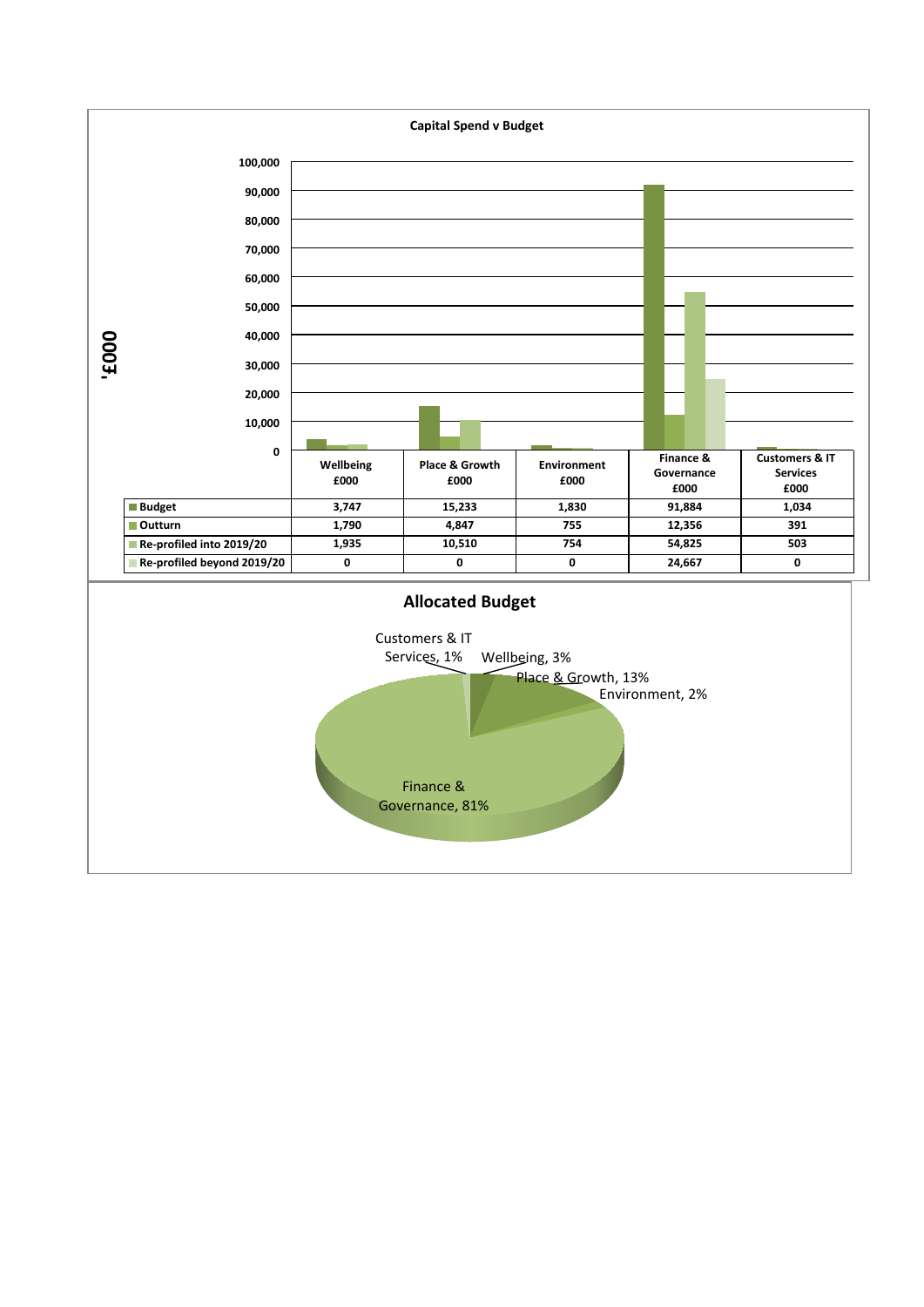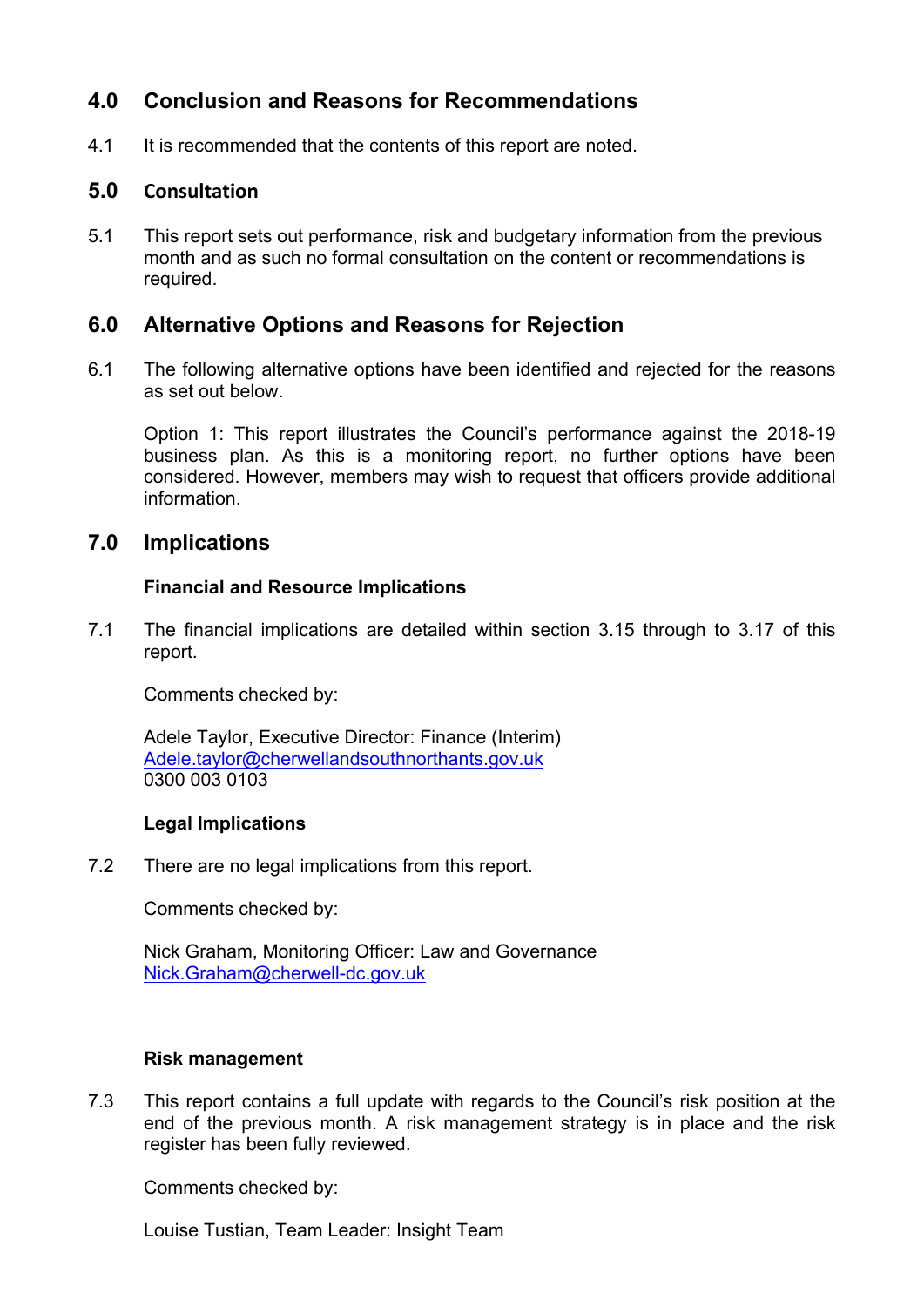## **4.0 Conclusion and Reasons for Recommendations**

4.1 It is recommended that the contents of this report are noted.

### **5.0 Consultation**

5.1 This report sets out performance, risk and budgetary information from the previous month and as such no formal consultation on the content or recommendations is required.

## **6.0 Alternative Options and Reasons for Rejection**

6.1 The following alternative options have been identified and rejected for the reasons as set out below.

Option 1: This report illustrates the Council's performance against the 2018-19 business plan. As this is a monitoring report, no further options have been considered. However, members may wish to request that officers provide additional information.

### **7.0 Implications**

### **Financial and Resource Implications**

7.1 The financial implications are detailed within section 3.15 through to 3.17 of this report.

Comments checked by:

Adele Taylor, Executive Director: Finance (Interim) [Adele.taylor@cherwellandsouthnorthants.gov.uk](mailto:Adele.taylor@cherwellandsouthnorthants.gov.uk) 0300 003 0103

#### **Legal Implications**

7.2 There are no legal implications from this report.

Comments checked by:

Nick Graham, Monitoring Officer: Law and Governance [Nick.Graham@cherwell-dc.gov.uk](mailto:Nick.Graham@cherwell-dc.gov.uk)

#### **Risk management**

7.3 This report contains a full update with regards to the Council's risk position at the end of the previous month. A risk management strategy is in place and the risk register has been fully reviewed.

Comments checked by:

Louise Tustian, Team Leader: Insight Team